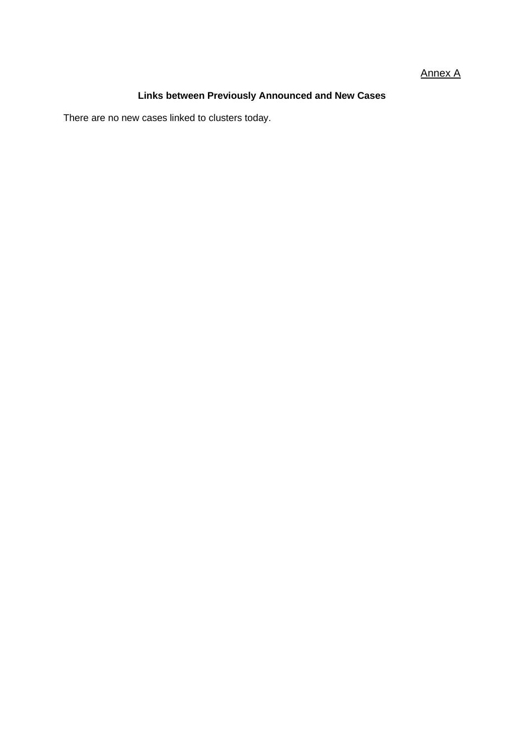#### Annex A

## **Links between Previously Announced and New Cases**

There are no new cases linked to clusters today.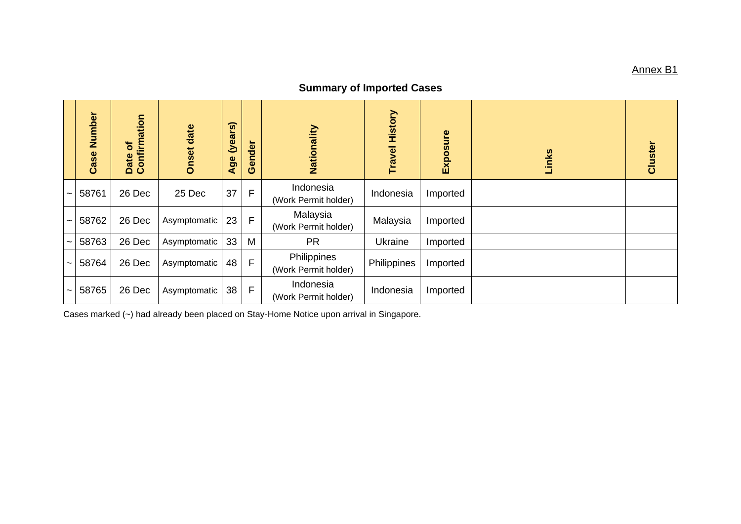#### <u>Annex B1</u>

# **Summary of Imported Cases**

|                       | Number<br>Case | Date of<br>Confirmation | <b>Onset date</b> | (years)<br>Age | Gender       | Nationality                         | <b>Travel History</b> | Exposure | Links | Cluster |
|-----------------------|----------------|-------------------------|-------------------|----------------|--------------|-------------------------------------|-----------------------|----------|-------|---------|
| $\tilde{\phantom{a}}$ | 58761          | 26 Dec                  | 25 Dec            | 37             | $\mathsf{F}$ | Indonesia<br>(Work Permit holder)   | Indonesia             | Imported |       |         |
| $\tilde{\phantom{a}}$ | 58762          | 26 Dec                  | Asymptomatic      | 23             | F            | Malaysia<br>(Work Permit holder)    | Malaysia              | Imported |       |         |
| $\tilde{\phantom{a}}$ | 58763          | 26 Dec                  | Asymptomatic      | 33             | M            | <b>PR</b>                           | <b>Ukraine</b>        | Imported |       |         |
| $\tilde{\phantom{a}}$ | 58764          | 26 Dec                  | Asymptomatic      | 48             | F            | Philippines<br>(Work Permit holder) | Philippines           | Imported |       |         |
| $\tilde{\phantom{a}}$ | 58765          | 26 Dec                  | Asymptomatic      | 38             | $\mathsf{F}$ | Indonesia<br>(Work Permit holder)   | Indonesia             | Imported |       |         |

Case s marked (~) had already been placed on Stay -Home Notice upon arrival in Singapore .